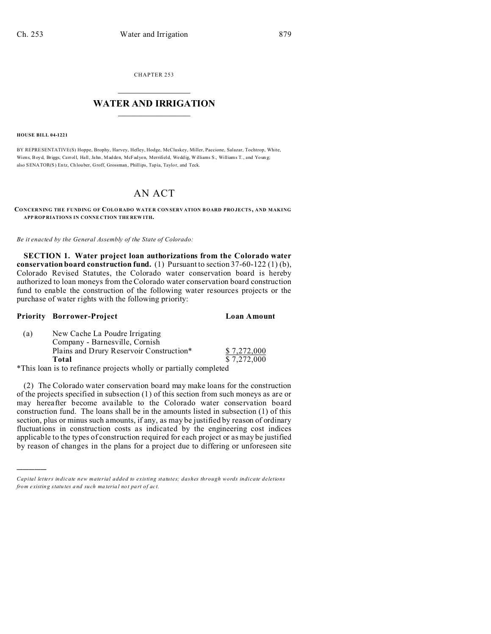CHAPTER 253  $\overline{\phantom{a}}$  , where  $\overline{\phantom{a}}$ 

# **WATER AND IRRIGATION**  $\_$   $\_$   $\_$   $\_$   $\_$   $\_$   $\_$   $\_$   $\_$

#### **HOUSE BILL 04-1221**

BY REPRESENTATIVE(S) Hoppe, Brophy, Harvey, Hefley, Hodge, McCluskey, Miller, Paccione, Salazar, Tochtrop, White, Wiens, Boyd, Briggs, Carroll, Hall, Jahn, Madden, McFadyen, Merrifield, Weddig, Williams S., Williams T., and Young; also SENATOR(S) Entz, Ch louber, Groff, Grossman, Phillips, Tapia, Taylor, and Teck.

# AN ACT

**CONCERNING THE FUNDING OF COLO RADO WATE R CON SERV ATION BOARD PRO JECTS, AND MAKING APP ROP RIATIONS IN CONNE CTION THE REW ITH.**

*Be it enacted by the General Assembly of the State of Colorado:*

**SECTION 1. Water project loan authorizations from the Colorado water conservation board construction fund.** (1) Pursuant to section 37-60-122 (1) (b), Colorado Revised Statutes, the Colorado water conservation board is hereby authorized to loan moneys from the Colorado water conservation board construction fund to enable the construction of the following water resources projects or the purchase of water rights with the following priority:

## **Priority Borrower-Project Loan Amount**

)))))

| (a) | New Cache La Poudre Irrigating                                    |             |
|-----|-------------------------------------------------------------------|-------------|
|     | Company - Barnesville, Cornish                                    |             |
|     | Plains and Drury Reservoir Construction*                          | \$7,272,000 |
|     | Total                                                             | \$7,272,000 |
|     | *This loan is to refinance projects wholly or partially completed |             |

\*This loan is to refinance projects wholly or partially completed

(2) The Colorado water conservation board may make loans for the construction of the projects specified in subsection (1) of this section from such moneys as are or may hereafter become available to the Colorado water conservation board construction fund. The loans shall be in the amounts listed in subsection (1) of this section, plus or minus such amounts, if any, as may be justified by reason of ordinary fluctuations in construction costs as indicated by the engineering cost indices applicable to the types of construction required for each project or as may be justified by reason of changes in the plans for a project due to differing or unforeseen site

*Capital letters indicate new material added to existing statutes; dashes through words indicate deletions from e xistin g statu tes a nd such ma teria l no t pa rt of ac t.*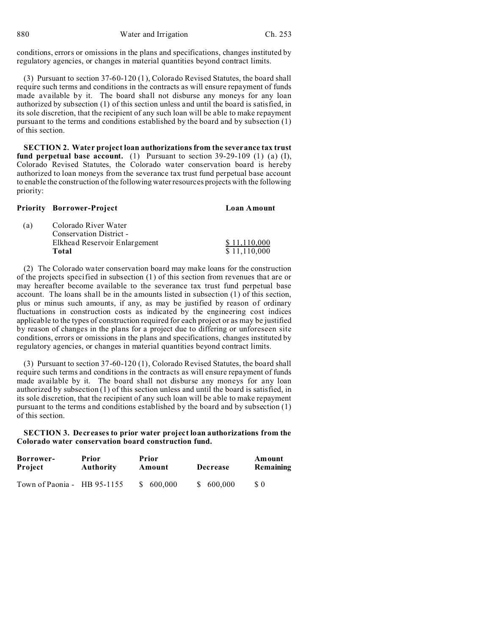880 Water and Irrigation Ch. 253

conditions, errors or omissions in the plans and specifications, changes instituted by regulatory agencies, or changes in material quantities beyond contract limits.

(3) Pursuant to section 37-60-120 (1), Colorado Revised Statutes, the board shall require such terms and conditions in the contracts as will ensure repayment of funds made available by it. The board shall not disburse any moneys for any loan authorized by subsection (1) of this section unless and until the board is satisfied, in its sole discretion, that the recipient of any such loan will be able to make repayment pursuant to the terms and conditions established by the board and by subsection (1) of this section.

**SECTION 2. Water project loan authorizations from the severance tax trust fund perpetual base account.** (1) Pursuant to section  $39-29-109$  (1) (a) (I), Colorado Revised Statutes, the Colorado water conservation board is hereby authorized to loan moneys from the severance tax trust fund perpetual base account to enable the construction of the following water resources projects with the following priority:

|     | <b>Priority Borrower-Project</b> | Loan Amount  |
|-----|----------------------------------|--------------|
| (a) | Colorado River Water             |              |
|     | Conservation District -          |              |
|     | Elkhead Reservoir Enlargement    | \$11,110,000 |
|     | Total                            | \$11,110,000 |

(2) The Colorado water conservation board may make loans for the construction of the projects specified in subsection (1) of this section from revenues that are or may hereafter become available to the severance tax trust fund perpetual base account. The loans shall be in the amounts listed in subsection (1) of this section, plus or minus such amounts, if any, as may be justified by reason of ordinary fluctuations in construction costs as indicated by the engineering cost indices applicable to the types of construction required for each project or as may be justified by reason of changes in the plans for a project due to differing or unforeseen site conditions, errors or omissions in the plans and specifications, changes instituted by regulatory agencies, or changes in material quantities beyond contract limits.

(3) Pursuant to section 37-60-120 (1), Colorado Revised Statutes, the board shall require such terms and conditions in the contracts as will ensure repayment of funds made available by it. The board shall not disburse any moneys for any loan authorized by subsection (1) of this section unless and until the board is satisfied, in its sole discretion, that the recipient of any such loan will be able to make repayment pursuant to the terms and conditions established by the board and by subsection (1) of this section.

**SECTION 3. Decreases to prior water project loan authorizations from the Colorado water conservation board construction fund.**

| Borrower-                   | Prior            | Prior     | Decrease  | Amount    |
|-----------------------------|------------------|-----------|-----------|-----------|
| <b>Project</b>              | <b>Authority</b> | Amount    |           | Remaining |
| Town of Paonia - HB 95-1155 |                  | \$600,000 | \$600.000 | \$ 0      |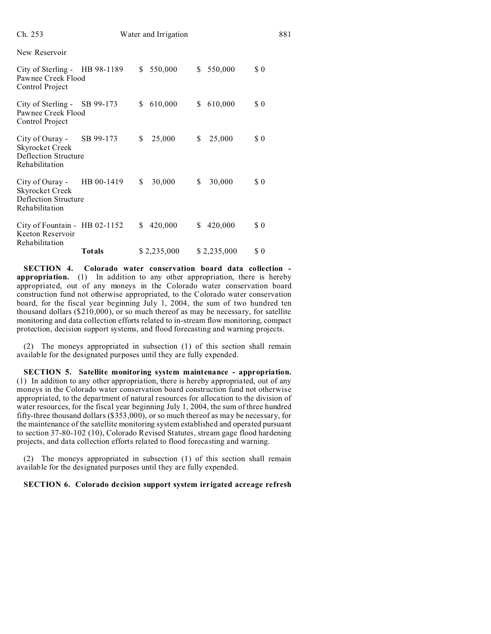| Ch. 253                                                                                    |               |    | Water and Irrigation |    |             |          | 881 |
|--------------------------------------------------------------------------------------------|---------------|----|----------------------|----|-------------|----------|-----|
| New Reservoir                                                                              |               |    |                      |    |             |          |     |
| City of Sterling - HB 98-1189<br>Pawnee Creek Flood<br>Control Project                     |               | S. | 550,000              | \$ | 550,000     | \$0      |     |
| City of Sterling - SB 99-173<br>Pawnee Creek Flood<br>Control Project                      |               | S. | 610,000              | S. | 610,000     | \$0      |     |
| City of Ouray -<br><b>Skyrocket Creek</b><br><b>Deflection Structure</b><br>Rehabilitation | SB 99-173     | \$ | 25,000               | \$ | 25,000      | \$0      |     |
| City of Ouray -<br><b>Skyrocket Creek</b><br>Deflection Structure<br>Rehabilitation        | HB 00-1419    | \$ | 30,000               | \$ | 30,000      | $\Omega$ |     |
| City of Fountain - HB 02-1152<br>Keeton Reservoir<br>Rehabilitation                        |               | S. | 420,000              | S. | 420,000     | \$0      |     |
|                                                                                            | <b>Totals</b> |    | \$2,235,000          |    | \$2,235,000 | \$0      |     |

**SECTION 4. Colorado water conservation board data collection appropriation.** (1) In addition to any other appropriation, there is hereby appropriated, out of any moneys in the Colorado water conservation board construction fund not otherwise appropriated, to the Colorado water conservation board, for the fiscal year beginning July 1, 2004, the sum of two hundred ten thousand dollars (\$210,000), or so much thereof as may be necessary, for satellite monitoring and data collection efforts related to in-stream flow monitoring, compact protection, decision support systems, and flood forecasting and warning projects.

(2) The moneys appropriated in subsection (1) of this section shall remain available for the designated purposes until they are fully expended.

**SECTION 5. Satellite monitoring system maintenance - appropriation.** (1) In addition to any other appropriation, there is hereby appropriated, out of any moneys in the Colorado water conservation board construction fund not otherwise appropriated, to the department of natural resources for allocation to the division of water resources, for the fiscal year beginning July 1, 2004, the sum of three hundred fifty-three thousand dollars (\$353,000), or so much thereof as may be necessary, for the maintenance of the satellite monitoring system established and operated pursuant to section 37-80-102 (10), Colorado Revised Statutes, stream gage flood hardening projects, and data collection efforts related to flood forecasting and warning.

(2) The moneys appropriated in subsection (1) of this section shall remain available for the designated purposes until they are fully expended.

# **SECTION 6. Colorado decision support system irrigated acreage refresh**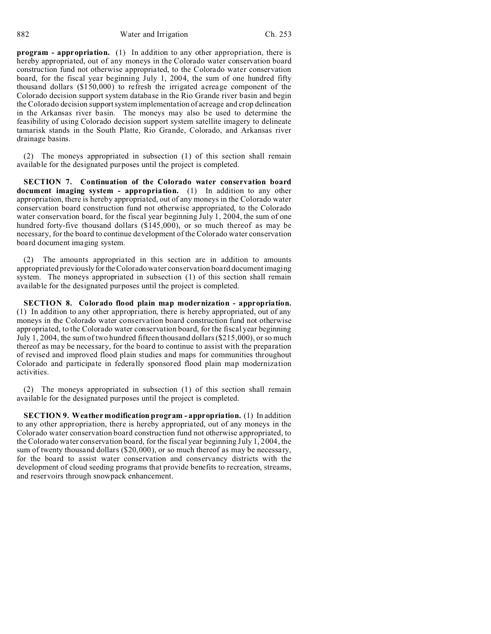**program - appropriation.** (1) In addition to any other appropriation, there is hereby appropriated, out of any moneys in the Colorado water conservation board construction fund not otherwise appropriated, to the Colorado water conservation board, for the fiscal year beginning July 1, 2004, the sum of one hundred fifty thousand dollars (\$150,000) to refresh the irrigated acreage component of the Colorado decision support system database in the Rio Grande river basin and begin the Colorado decision support system implementation of acreage and crop delineation in the Arkansas river basin. The moneys may also be used to determine the feasibility of using Colorado decision support system satellite imagery to delineate tamarisk stands in the South Platte, Rio Grande, Colorado, and Arkansas river drainage basins.

(2) The moneys appropriated in subsection (1) of this section shall remain available for the designated purposes until the project is completed.

**SECTION 7. Continuation of the Colorado water conservation board document imaging system - appropriation.** (1) In addition to any other appropriation, there is hereby appropriated, out of any moneys in the Colorado water conservation board construction fund not otherwise appropriated, to the Colorado water conservation board, for the fiscal year beginning July 1, 2004, the sum of one hundred forty-five thousand dollars (\$145,000), or so much thereof as may be necessary, for the board to continue development of the Colorado water conservation board document imaging system.

(2) The amounts appropriated in this section are in addition to amounts appropriated previously forthe Colorado water conservation board document imaging system. The moneys appropriated in subsection (1) of this section shall remain available for the designated purposes until the project is completed.

**SECTION 8. Colorado flood plain map modernization - appropriation.** (1) In addition to any other appropriation, there is hereby appropriated, out of any moneys in the Colorado water conservation board construction fund not otherwise appropriated, to the Colorado water conservation board, for the fiscal year beginning July 1, 2004, the sum of two hundred fifteen thousand dollars (\$215,000), or so much thereof as may be necessary, for the board to continue to assist with the preparation of revised and improved flood plain studies and maps for communities throughout Colorado and participate in federally sponsored flood plain map modernization activities.

(2) The moneys appropriated in subsection (1) of this section shall remain available for the designated purposes until the project is completed.

**SECTION 9. Weather modification program - appropriation.** (1) In addition to any other appropriation, there is hereby appropriated, out of any moneys in the Colorado water conservation board construction fund not otherwise appropriated, to the Colorado water conservation board, for the fiscal year beginning July 1, 2004, the sum of twenty thousand dollars (\$20,000), or so much thereof as may be necessary, for the board to assist water conservation and conservancy districts with the development of cloud seeding programs that provide benefits to recreation, streams, and reservoirs through snowpack enhancement.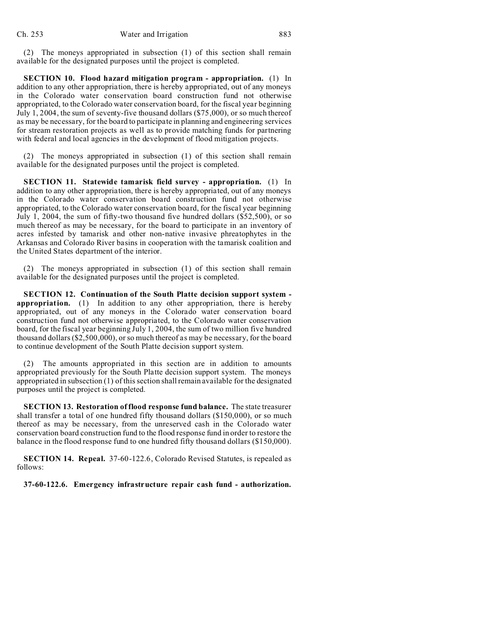(2) The moneys appropriated in subsection (1) of this section shall remain available for the designated purposes until the project is completed.

**SECTION 10. Flood hazard mitigation program - appropriation.** (1) In addition to any other appropriation, there is hereby appropriated, out of any moneys in the Colorado water conservation board construction fund not otherwise appropriated, to the Colorado water conservation board, for the fiscal year beginning July 1, 2004, the sum of seventy-five thousand dollars (\$75,000), or so much thereof as may be necessary, for the board to participate in planning and engineering services for stream restoration projects as well as to provide matching funds for partnering with federal and local agencies in the development of flood mitigation projects.

(2) The moneys appropriated in subsection (1) of this section shall remain available for the designated purposes until the project is completed.

**SECTION 11. Statewide tamarisk field survey - appropriation.** (1) In addition to any other appropriation, there is hereby appropriated, out of any moneys in the Colorado water conservation board construction fund not otherwise appropriated, to the Colorado water conservation board, for the fiscal year beginning July 1, 2004, the sum of fifty-two thousand five hundred dollars (\$52,500), or so much thereof as may be necessary, for the board to participate in an inventory of acres infested by tamarisk and other non-native invasive phreatophytes in the Arkansas and Colorado River basins in cooperation with the tamarisk coalition and the United States department of the interior.

(2) The moneys appropriated in subsection (1) of this section shall remain available for the designated purposes until the project is completed.

**SECTION 12. Continuation of the South Platte decision support system appropriation.** (1) In addition to any other appropriation, there is hereby appropriated, out of any moneys in the Colorado water conservation board construction fund not otherwise appropriated, to the Colorado water conservation board, for the fiscal year beginning July 1, 2004, the sum of two million five hundred thousand dollars (\$2,500,000), or so much thereof as may be necessary, for the board to continue development of the South Platte decision support system.

(2) The amounts appropriated in this section are in addition to amounts appropriated previously for the South Platte decision support system. The moneys appropriated in subsection (1) of this section shall remain available for the designated purposes until the project is completed.

**SECTION 13. Restoration of flood response fund balance.** The state treasurer shall transfer a total of one hundred fifty thousand dollars (\$150,000), or so much thereof as may be necessary, from the unreserved cash in the Colorado water conservation board construction fund to the flood response fund in order to restore the balance in the flood response fund to one hundred fifty thousand dollars (\$150,000).

**SECTION 14. Repeal.** 37-60-122.6, Colorado Revised Statutes, is repealed as follows:

**37-60-122.6. Emergency infrastructure repair cash fund - authorization.**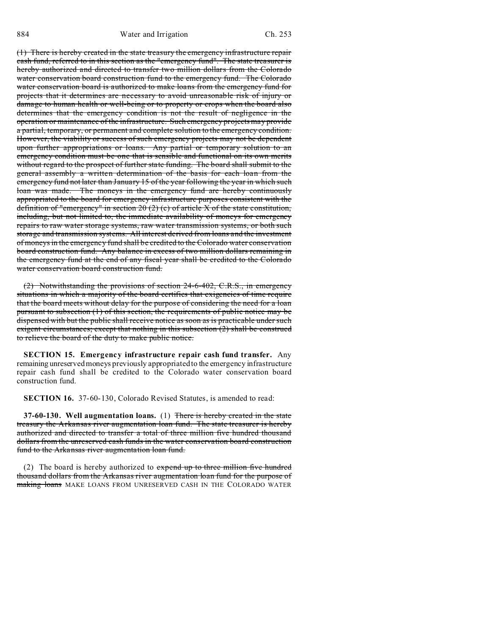(1) There is hereby created in the state treasury the emergency infrastructure repair cash fund, referred to in this section as the "emergency fund". The state treasurer is hereby authorized and directed to transfer two million dollars from the Colorado water conservation board construction fund to the emergency fund. The Colorado water conservation board is authorized to make loans from the emergency fund for projects that it determines are necessary to avoid unreasonable risk of injury or damage to human health or well-being or to property or crops when the board also determines that the emergency condition is not the result of negligence in the operation or maintenance of the infrastructure. Such emergency projects may provide a partial, temporary, or permanent and complete solution to the emergency condition. However, the viability or success of such emergency projects may not be dependent upon further appropriations or loans. Any partial or temporary solution to an emergency condition must be one that is sensible and functional on its own merits without regard to the prospect of further state funding. The board shall submit to the general assembly a written determination of the basis for each loan from the emergency fund not later than January 15 of the year following the year in which such loan was made. The moneys in the emergency fund are hereby continuously appropriated to the board for emergency infrastructure purposes consistent with the definition of "emergency" in section 20 (2) (c) of article  $X$  of the state constitution, including, but not limited to, the immediate availability of moneys for emergency repairs to raw water storage systems, raw water transmission systems, or both such storage and transmission systems. All interest derived from loans and the investment of moneys in the emergency fund shall be credited to the Colorado water conservation board construction fund. Any balance in excess of two million dollars remaining in the emergency fund at the end of any fiscal year shall be credited to the Colorado water conservation board construction fund.

(2) Notwithstanding the provisions of section 24-6-402, C.R.S., in emergency situations in which a majority of the board certifies that exigencies of time require that the board meets without delay for the purpose of considering the need for a loan pursuant to subsection (1) of this section, the requirements of public notice may be dispensed with but the public shall receive notice as soon as is practicable under such exigent circumstances; except that nothing in this subsection (2) shall be construed to relieve the board of the duty to make public notice.

**SECTION 15. Emergency infrastructure repair cash fund transfer.** Any remaining unreserved moneys previously appropriated to the emergency infrastructure repair cash fund shall be credited to the Colorado water conservation board construction fund.

**SECTION 16.** 37-60-130, Colorado Revised Statutes, is amended to read:

**37-60-130. Well augmentation loans.** (1) There is hereby created in the state treasury the Arkansas river augmentation loan fund. The state treasurer is hereby authorized and directed to transfer a total of three million five hundred thousand dollars from the unreserved cash funds in the water conservation board construction fund to the Arkansas river augmentation loan fund.

(2) The board is hereby authorized to  $\epsilon x$  pend up to three million five hundred thousand dollars from the Arkansas river augmentation loan fund for the purpose of making loans MAKE LOANS FROM UNRESERVED CASH IN THE COLORADO WATER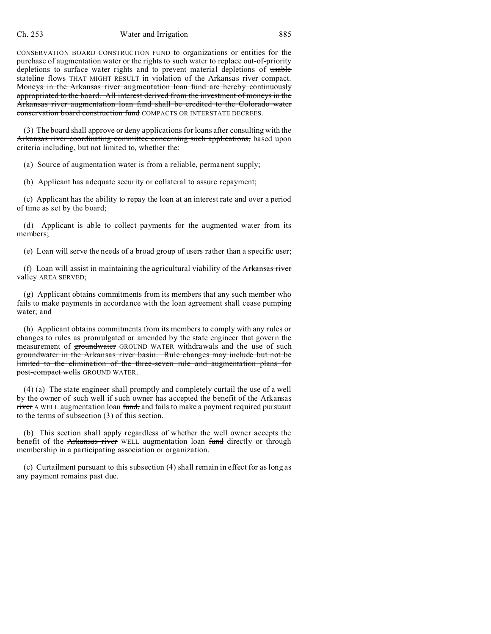### Ch. 253 Water and Irrigation 885

CONSERVATION BOARD CONSTRUCTION FUND to organizations or entities for the purchase of augmentation water or the rights to such water to replace out-of-priority depletions to surface water rights and to prevent material depletions of usable stateline flows THAT MIGHT RESULT in violation of the Arkansas river compact. Moneys in the Arkansas river augmentation loan fund are hereby continuously appropriated to the board. All interest derived from the investment of moneys in the Arkansas river augmentation loan fund shall be credited to the Colorado water conservation board construction fund COMPACTS OR INTERSTATE DECREES.

 $(3)$  The board shall approve or deny applications for loans after consulting with the Arkansas river coordinating committee concerning such applications, based upon criteria including, but not limited to, whether the:

(a) Source of augmentation water is from a reliable, permanent supply;

(b) Applicant has adequate security or collateral to assure repayment;

(c) Applicant has the ability to repay the loan at an interest rate and over a period of time as set by the board;

(d) Applicant is able to collect payments for the augmented water from its members;

(e) Loan will serve the needs of a broad group of users rather than a specific user;

(f) Loan will assist in maintaining the agricultural viability of the Arkansas river valley AREA SERVED;

(g) Applicant obtains commitments from its members that any such member who fails to make payments in accordance with the loan agreement shall cease pumping water; and

(h) Applicant obtains commitments from its members to comply with any rules or changes to rules as promulgated or amended by the state engineer that govern the measurement of groundwater GROUND WATER withdrawals and the use of such groundwater in the Arkansas river basin. Rule changes may include but not be limited to the elimination of the three-seven rule and augmentation plans for post-compact wells GROUND WATER.

(4) (a) The state engineer shall promptly and completely curtail the use of a well by the owner of such well if such owner has accepted the benefit of the Arkansas river A WELL augmentation loan fund, and fails to make a payment required pursuant to the terms of subsection (3) of this section.

(b) This section shall apply regardless of whether the well owner accepts the benefit of the Arkansas river WELL augmentation loan fund directly or through membership in a participating association or organization.

(c) Curtailment pursuant to this subsection (4) shall remain in effect for as long as any payment remains past due.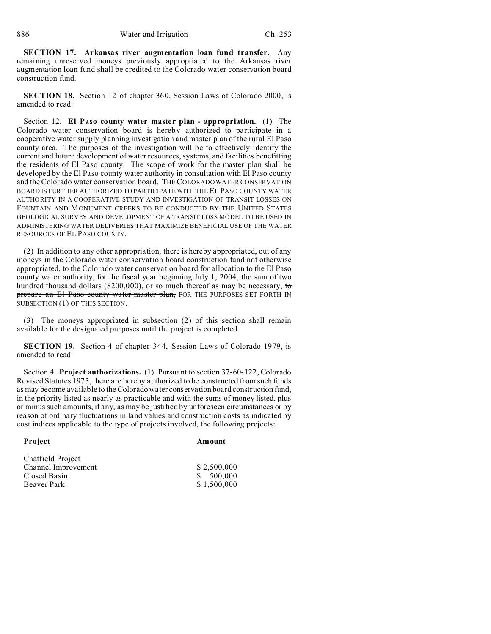**SECTION 17. Arkansas river augmentation loan fund transfer.** Any remaining unreserved moneys previously appropriated to the Arkansas river augmentation loan fund shall be credited to the Colorado water conservation board construction fund.

**SECTION 18.** Section 12 of chapter 360, Session Laws of Colorado 2000, is amended to read:

Section 12. **El Paso county water master plan - appropriation.** (1) The Colorado water conservation board is hereby authorized to participate in a cooperative water supply planning investigation and master plan of the rural El Paso county area. The purposes of the investigation will be to effectively identify the current and future development of water resources, systems, and facilities benefitting the residents of El Paso county. The scope of work for the master plan shall be developed by the El Paso county water authority in consultation with El Paso county and the Colorado water conservation board. THE COLORADO WATER CONSERVATION BOARD IS FURTHER AUTHORIZED TO PARTICIPATE WITH THE EL PASO COUNTY WATER AUTHORITY IN A COOPERATIVE STUDY AND INVESTIGATION OF TRANSIT LOSSES ON FOUNTAIN AND MONUMENT CREEKS TO BE CONDUCTED BY THE UNITED STATES GEOLOGICAL SURVEY AND DEVELOPMENT OF A TRANSIT LOSS MODEL TO BE USED IN ADMINISTERING WATER DELIVERIES THAT MAXIMIZE BENEFICIAL USE OF THE WATER RESOURCES OF EL PASO COUNTY.

(2) In addition to any other appropriation, there is hereby appropriated, out of any moneys in the Colorado water conservation board construction fund not otherwise appropriated, to the Colorado water conservation board for allocation to the El Paso county water authority, for the fiscal year beginning July 1, 2004, the sum of two hundred thousand dollars (\$200,000), or so much thereof as may be necessary, to prepare an El Paso county water master plan, FOR THE PURPOSES SET FORTH IN SUBSECTION (1) OF THIS SECTION.

(3) The moneys appropriated in subsection (2) of this section shall remain available for the designated purposes until the project is completed.

**SECTION 19.** Section 4 of chapter 344, Session Laws of Colorado 1979, is amended to read:

Section 4. **Project authorizations.** (1) Pursuant to section 37-60-122, Colorado Revised Statutes 1973, there are hereby authorized to be constructed from such funds as may become available to the Colorado water conservation board construction fund, in the priority listed as nearly as practicable and with the sums of money listed, plus or minus such amounts, if any, as may be justified by unforeseen circumstances or by reason of ordinary fluctuations in land values and construction costs as indicated by cost indices applicable to the type of projects involved, the following projects:

### **Project Amount**

| Chatfield Project   |             |
|---------------------|-------------|
| Channel Improvement | \$2,500,000 |
| Closed Basin        | \$500,000   |
| Beaver Park         | \$1,500,000 |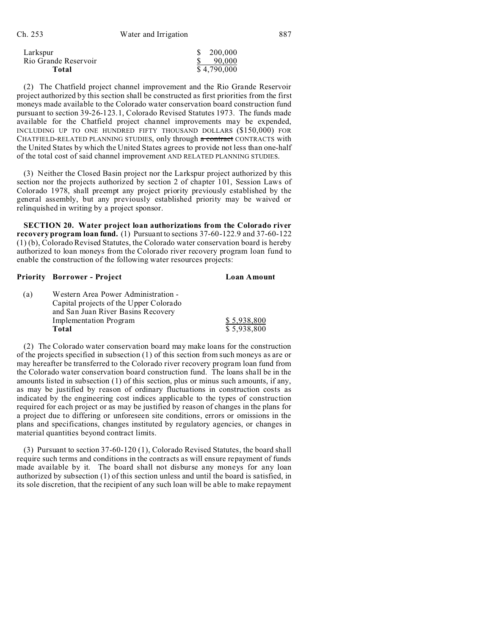| Larkspur             | \$ 200,000  |
|----------------------|-------------|
| Rio Grande Reservoir | 90.000      |
| Total                | \$4,790,000 |

(2) The Chatfield project channel improvement and the Rio Grande Reservoir project authorized by this section shall be constructed as first priorities from the first moneys made available to the Colorado water conservation board construction fund pursuant to section 39-26-123.1, Colorado Revised Statutes 1973. The funds made available for the Chatfield project channel improvements may be expended, INCLUDING UP TO ONE HUNDRED FIFTY THOUSAND DOLLARS (\$150,000) FOR CHATFIELD-RELATED PLANNING STUDIES, only through a contract CONTRACTS with the United States by which the United States agrees to provide not less than one-half of the total cost of said channel improvement AND RELATED PLANNING STUDIES.

(3) Neither the Closed Basin project nor the Larkspur project authorized by this section nor the projects authorized by section 2 of chapter 101, Session Laws of Colorado 1978, shall preempt any project priority previously established by the general assembly, but any previously established priority may be waived or relinquished in writing by a project sponsor.

**SECTION 20. Water project loan authorizations from the Colorado river recovery program loan fund.** (1) Pursuant to sections 37-60-122.9 and 37-60-122 (1) (b), Colorado Revised Statutes, the Colorado water conservation board is hereby authorized to loan moneys from the Colorado river recovery program loan fund to enable the construction of the following water resources projects:

# **Priority Borrower - Project Loan Amount**

| (a) | Western Area Power Administration -    |             |
|-----|----------------------------------------|-------------|
|     | Capital projects of the Upper Colorado |             |
|     | and San Juan River Basins Recovery     |             |
|     | Implementation Program                 | \$5.938.800 |
|     | Total                                  | \$5.938.800 |

(2) The Colorado water conservation board may make loans for the construction of the projects specified in subsection (1) of this section from such moneys as are or may hereafter be transferred to the Colorado river recovery program loan fund from the Colorado water conservation board construction fund. The loans shall be in the amounts listed in subsection (1) of this section, plus or minus such amounts, if any, as may be justified by reason of ordinary fluctuations in construction costs as indicated by the engineering cost indices applicable to the types of construction required for each project or as may be justified by reason of changes in the plans for a project due to differing or unforeseen site conditions, errors or omissions in the plans and specifications, changes instituted by regulatory agencies, or changes in material quantities beyond contract limits.

(3) Pursuant to section 37-60-120 (1), Colorado Revised Statutes, the board shall require such terms and conditions in the contracts as will ensure repayment of funds made available by it. The board shall not disburse any moneys for any loan authorized by subsection (1) of this section unless and until the board is satisfied, in its sole discretion, that the recipient of any such loan will be able to make repayment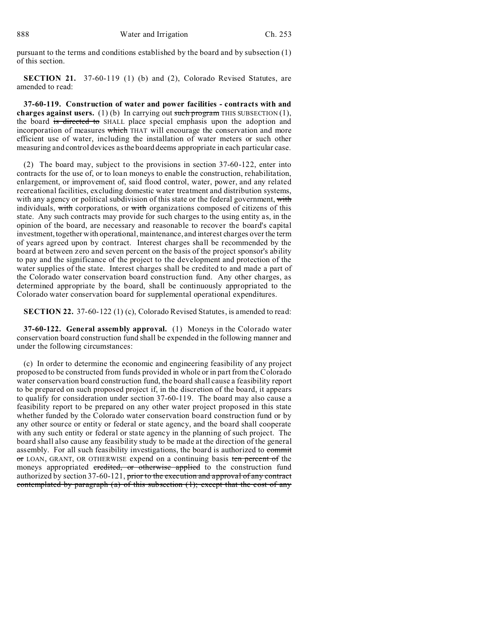pursuant to the terms and conditions established by the board and by subsection (1) of this section.

**SECTION 21.** 37-60-119 (1) (b) and (2), Colorado Revised Statutes, are amended to read:

**37-60-119. Construction of water and power facilities - contracts with and charges against users.** (1) (b) In carrying out such program THIS SUBSECTION (1), the board is directed to SHALL place special emphasis upon the adoption and incorporation of measures which THAT will encourage the conservation and more efficient use of water, including the installation of water meters or such other measuring and control devices as the board deems appropriate in each particular case.

(2) The board may, subject to the provisions in section 37-60-122, enter into contracts for the use of, or to loan moneys to enable the construction, rehabilitation, enlargement, or improvement of, said flood control, water, power, and any related recreational facilities, excluding domestic water treatment and distribution systems, with any agency or political subdivision of this state or the federal government, with individuals, with corporations, or with organizations composed of citizens of this state. Any such contracts may provide for such charges to the using entity as, in the opinion of the board, are necessary and reasonable to recover the board's capital investment, together with operational, maintenance, and interest charges over the term of years agreed upon by contract. Interest charges shall be recommended by the board at between zero and seven percent on the basis of the project sponsor's ability to pay and the significance of the project to the development and protection of the water supplies of the state. Interest charges shall be credited to and made a part of the Colorado water conservation board construction fund. Any other charges, as determined appropriate by the board, shall be continuously appropriated to the Colorado water conservation board for supplemental operational expenditures.

**SECTION 22.** 37-60-122 (1) (c), Colorado Revised Statutes, is amended to read:

**37-60-122. General assembly approval.** (1) Moneys in the Colorado water conservation board construction fund shall be expended in the following manner and under the following circumstances:

(c) In order to determine the economic and engineering feasibility of any project proposed to be constructed from funds provided in whole or in part from the Colorado water conservation board construction fund, the board shall cause a feasibility report to be prepared on such proposed project if, in the discretion of the board, it appears to qualify for consideration under section 37-60-119. The board may also cause a feasibility report to be prepared on any other water project proposed in this state whether funded by the Colorado water conservation board construction fund or by any other source or entity or federal or state agency, and the board shall cooperate with any such entity or federal or state agency in the planning of such project. The board shall also cause any feasibility study to be made at the direction of the general assembly. For all such feasibility investigations, the board is authorized to commit or LOAN, GRANT, OR OTHERWISE expend on a continuing basis ten percent of the moneys appropriated credited, or otherwise applied to the construction fund authorized by section 37-60-121, prior to the execution and approval of any contract contemplated by paragraph (a) of this subsection (1); except that the cost of any